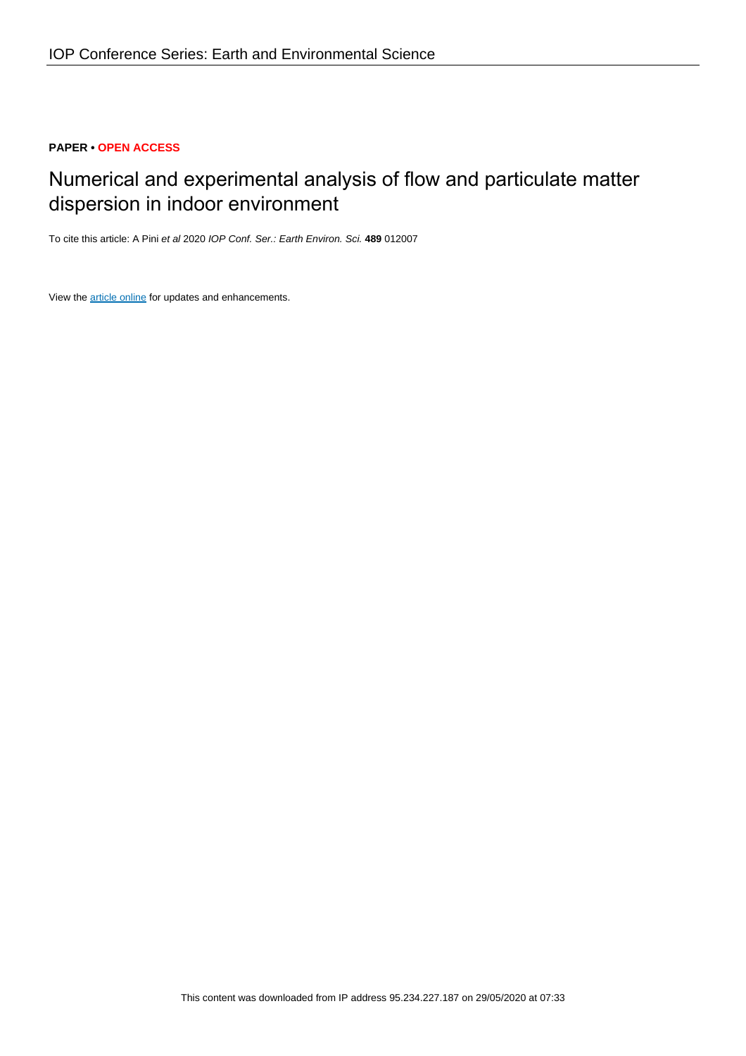## **PAPER • OPEN ACCESS**

# Numerical and experimental analysis of flow and particulate matter dispersion in indoor environment

To cite this article: A Pini et al 2020 IOP Conf. Ser.: Earth Environ. Sci. **489** 012007

View the [article online](https://doi.org/10.1088/1755-1315/489/1/012007) for updates and enhancements.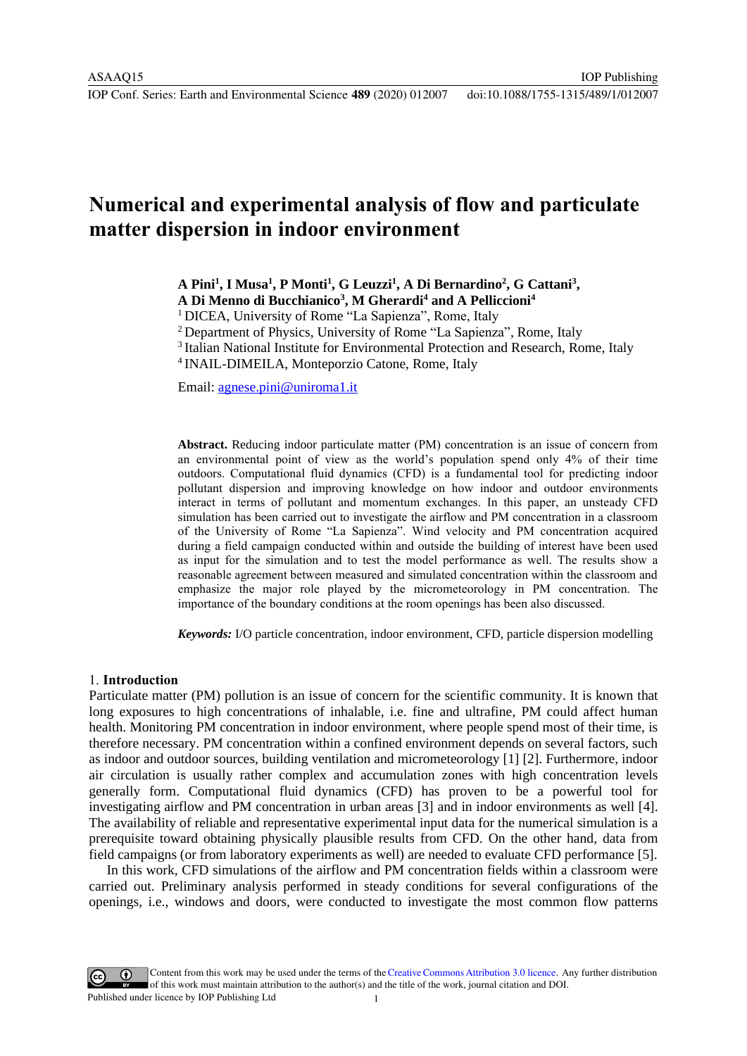IOP Conf. Series: Earth and Environmental Science **489** (2020) 012007 doi:10.1088/1755-1315/489/1/012007

IOP Publishing

## **Numerical and experimental analysis of flow and particulate matter dispersion in indoor environment**

**A Pini<sup>1</sup> , I Musa<sup>1</sup> , P Monti<sup>1</sup> , G Leuzzi<sup>1</sup> , A Di Bernardino<sup>2</sup> , G Cattani<sup>3</sup> ,**

**A Di Menno di Bucchianico<sup>3</sup> , M Gherardi<sup>4</sup> and A Pelliccioni<sup>4</sup>**

<sup>1</sup> DICEA, University of Rome "La Sapienza", Rome, Italy

<sup>2</sup> Department of Physics, University of Rome "La Sapienza", Rome, Italy

<sup>3</sup> Italian National Institute for Environmental Protection and Research, Rome, Italy

4 INAIL-DIMEILA, Monteporzio Catone, Rome, Italy

Email: agnese.pini@uniroma1.it

**Abstract.** [Reducing indoor p](mailto:agnese.pini@uniroma1.it)articulate matter (PM) concentration is an issue of concern from an environmental point of view as the world's population spend only 4% of their time outdoors. Computational fluid dynamics (CFD) is a fundamental tool for predicting indoor pollutant dispersion and improving knowledge on how indoor and outdoor environments interact in terms of pollutant and momentum exchanges. In this paper, an unsteady CFD simulation has been carried out to investigate the airflow and PM concentration in a classroom of the University of Rome "La Sapienza". Wind velocity and PM concentration acquired during a field campaign conducted within and outside the building of interest have been used as input for the simulation and to test the model performance as well. The results show a reasonable agreement between measured and simulated concentration within the classroom and emphasize the major role played by the micrometeorology in PM concentration. The importance of the boundary conditions at the room openings has been also discussed.

*Keywords:* I/O particle concentration, indoor environment, CFD, particle dispersion modelling

## 1. **Introduction**

Particulate matter (PM) pollution is an issue of concern for the scientific community. It is known that long exposures to high concentrations of inhalable, i.e. fine and ultrafine, PM could affect human health. Monitoring PM concentration in indoor environment, where people spend most of their time, is therefore necessary. PM concentration within a confined environment depends on several factors, such as indoor and outdoor sources, building ventilation and micrometeorology [1] [2]. Furthermore, indoor air circulation is usually rather complex and accumulation zones with high concentration levels generally form. Computational fluid dynamics (CFD) has proven to be a powerful tool for investigating airflow and PM concentration in urban areas [3] and in indoor environments as well [4]. The availability of reliable and representative experimental input data for the numerical simulation is a prerequisite toward obtaining physically plausible results from CFD. On the other hand, data from field campaigns (or from laboratory experiments as well) are needed to evaluate CFD performance [5].

In this work, CFD simulations of the airflow and PM concentration fields within a classroom were carried out. Preliminary analysis performed in steady conditions for several configurations of the openings, i.e., windows and doors, were conducted to investigate the most common flow patterns

Content from this work may be used under the terms of the Creative Commons Attribution 3.0 licence. Any further distribution of this work must maintain attribution to the author(s) and the title of the work, journal citation and DOI. Published under licence by IOP Publishing Ltd 1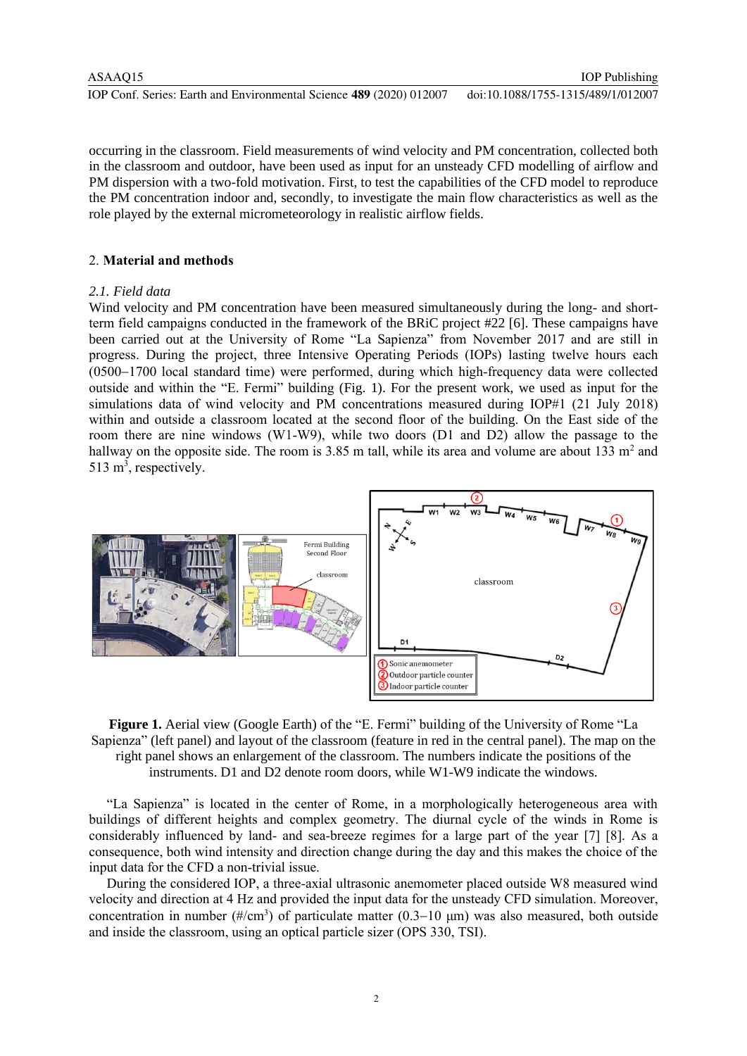| ASAAQ15                                                             | <b>IOP</b> Publishing              |
|---------------------------------------------------------------------|------------------------------------|
| IOP Conf. Series: Earth and Environmental Science 489 (2020) 012007 | doi:10.1088/1755-1315/489/1/012007 |

occurring in the classroom. Field measurements of wind velocity and PM concentration, collected both in the classroom and outdoor, have been used as input for an unsteady CFD modelling of airflow and PM dispersion with a two-fold motivation. First, to test the capabilities of the CFD model to reproduce the PM concentration indoor and, secondly, to investigate the main flow characteristics as well as the role played by the external micrometeorology in realistic airflow fields.

## 2. **Material and methods**

## *2.1. Field data*

Wind velocity and PM concentration have been measured simultaneously during the long- and shortterm field campaigns conducted in the framework of the BRiC project #22 [6]. These campaigns have been carried out at the University of Rome "La Sapienza" from November 2017 and are still in progress. During the project, three Intensive Operating Periods (IOPs) lasting twelve hours each (0500−1700 local standard time) were performed, during which high-frequency data were collected outside and within the "E. Fermi" building (Fig. 1). For the present work, we used as input for the simulations data of wind velocity and PM concentrations measured during IOP#1 (21 July 2018) within and outside a classroom located at the second floor of the building. On the East side of the room there are nine windows (W1-W9), while two doors (D1 and D2) allow the passage to the hallway on the opposite side. The room is 3.85 m tall, while its area and volume are about 133 m<sup>2</sup> and  $513 \text{ m}^3$ , respectively.



**Figure 1.** Aerial view (Google Earth) of the "E. Fermi" building of the University of Rome "La Sapienza" (left panel) and layout of the classroom (feature in red in the central panel). The map on the right panel shows an enlargement of the classroom. The numbers indicate the positions of the instruments. D1 and D2 denote room doors, while W1-W9 indicate the windows.

"La Sapienza" is located in the center of Rome, in a morphologically heterogeneous area with buildings of different heights and complex geometry. The diurnal cycle of the winds in Rome is considerably influenced by land- and sea-breeze regimes for a large part of the year [7] [8]. As a consequence, both wind intensity and direction change during the day and this makes the choice of the input data for the CFD a non-trivial issue.

During the considered IOP, a three-axial ultrasonic anemometer placed outside W8 measured wind velocity and direction at 4 Hz and provided the input data for the unsteady CFD simulation. Moreover, concentration in number  $(\text{\#/cm}^3)$  of particulate matter (0.3–10 µm) was also measured, both outside and inside the classroom, using an optical particle sizer (OPS 330, TSI).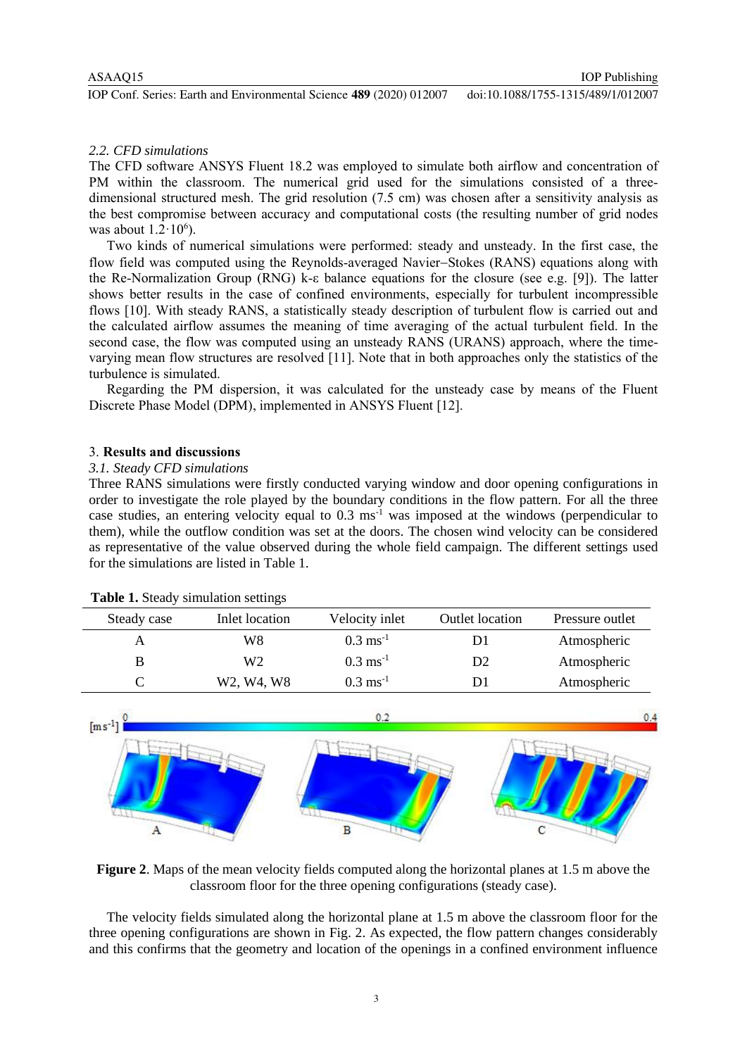IOP Conf. Series: Earth and Environmental Science **489** (2020) 012007 doi:10.1088/1755-1315/489/1/012007

#### *2.2. CFD simulations*

The CFD software ANSYS Fluent 18.2 was employed to simulate both airflow and concentration of PM within the classroom. The numerical grid used for the simulations consisted of a threedimensional structured mesh. The grid resolution (7.5 cm) was chosen after a sensitivity analysis as the best compromise between accuracy and computational costs (the resulting number of grid nodes was about  $1.2 \cdot 10^6$ ).

Two kinds of numerical simulations were performed: steady and unsteady. In the first case, the flow field was computed using the Reynolds-averaged Navier−Stokes (RANS) equations along with the Re-Normalization Group (RNG) k-ε balance equations for the closure (see e.g. [9]). The latter shows better results in the case of confined environments, especially for turbulent incompressible flows [10]. With steady RANS, a statistically steady description of turbulent flow is carried out and the calculated airflow assumes the meaning of time averaging of the actual turbulent field. In the second case, the flow was computed using an unsteady RANS (URANS) approach, where the timevarying mean flow structures are resolved [11]. Note that in both approaches only the statistics of the turbulence is simulated.

Regarding the PM dispersion, it was calculated for the unsteady case by means of the Fluent Discrete Phase Model (DPM), implemented in ANSYS Fluent [12].

#### 3. **Results and discussions**

#### *3.1. Steady CFD simulations*

Three RANS simulations were firstly conducted varying window and door opening configurations in order to investigate the role played by the boundary conditions in the flow pattern. For all the three case studies, an entering velocity equal to 0.3 ms-1 was imposed at the windows (perpendicular to them), while the outflow condition was set at the doors. The chosen wind velocity can be considered as representative of the value observed during the whole field campaign. The different settings used for the simulations are listed in Table 1.

| Steady case | Inlet location                                   | Velocity inlet        | <b>Outlet</b> location | Pressure outlet |
|-------------|--------------------------------------------------|-----------------------|------------------------|-----------------|
|             | W8                                               | $0.3 \text{ ms}^{-1}$ | DΙ                     | Atmospheric     |
|             | W2                                               | $0.3 \text{ ms}^{-1}$ | D2                     | Atmospheric     |
|             | W <sub>2</sub> , W <sub>4</sub> , W <sub>8</sub> | $0.3 \text{ ms}^{-1}$ |                        | Atmospheric     |

**Table 1.** Steady simulation settings



**Figure 2**. Maps of the mean velocity fields computed along the horizontal planes at 1.5 m above the classroom floor for the three opening configurations (steady case).

The velocity fields simulated along the horizontal plane at 1.5 m above the classroom floor for the three opening configurations are shown in Fig. 2. As expected, the flow pattern changes considerably and this confirms that the geometry and location of the openings in a confined environment influence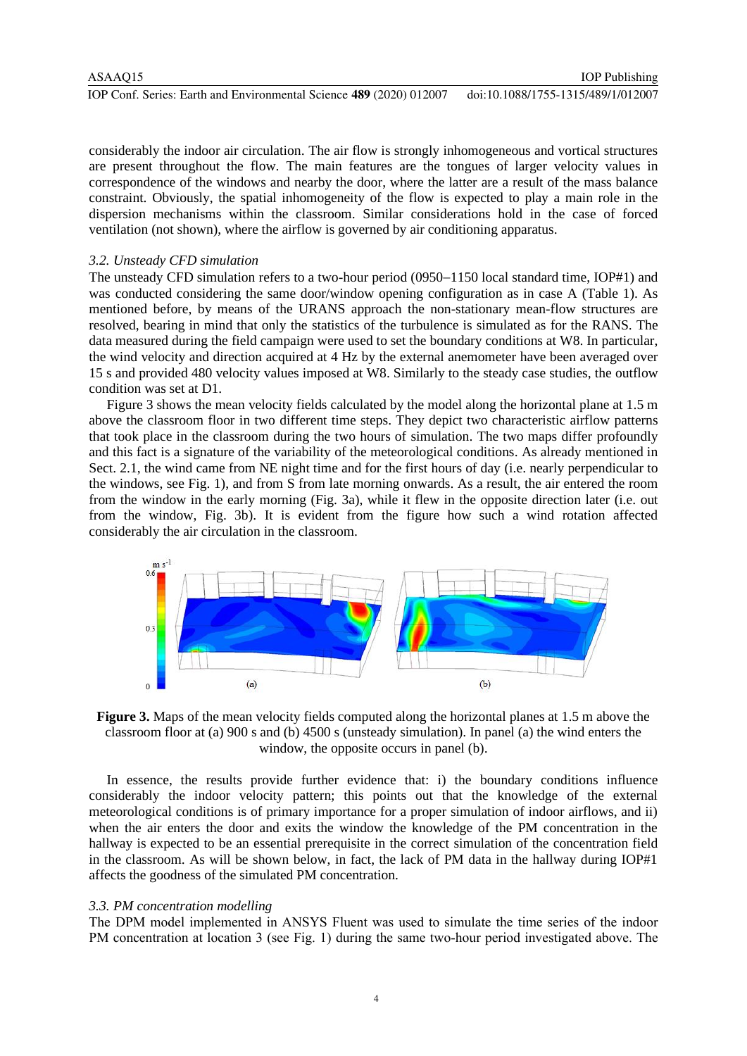| ASAAQ15                                                             | <b>IOP</b> Publishing              |
|---------------------------------------------------------------------|------------------------------------|
| IOP Conf. Series: Earth and Environmental Science 489 (2020) 012007 | doi:10.1088/1755-1315/489/1/012007 |

considerably the indoor air circulation. The air flow is strongly inhomogeneous and vortical structures are present throughout the flow. The main features are the tongues of larger velocity values in correspondence of the windows and nearby the door, where the latter are a result of the mass balance constraint. Obviously, the spatial inhomogeneity of the flow is expected to play a main role in the dispersion mechanisms within the classroom. Similar considerations hold in the case of forced ventilation (not shown), where the airflow is governed by air conditioning apparatus.

## *3.2. Unsteady CFD simulation*

The unsteady CFD simulation refers to a two-hour period (0950−1150 local standard time, IOP#1) and was conducted considering the same door/window opening configuration as in case A (Table 1). As mentioned before, by means of the URANS approach the non-stationary mean-flow structures are resolved, bearing in mind that only the statistics of the turbulence is simulated as for the RANS. The data measured during the field campaign were used to set the boundary conditions at W8. In particular, the wind velocity and direction acquired at 4 Hz by the external anemometer have been averaged over 15 s and provided 480 velocity values imposed at W8. Similarly to the steady case studies, the outflow condition was set at D1.

Figure 3 shows the mean velocity fields calculated by the model along the horizontal plane at 1.5 m above the classroom floor in two different time steps. They depict two characteristic airflow patterns that took place in the classroom during the two hours of simulation. The two maps differ profoundly and this fact is a signature of the variability of the meteorological conditions. As already mentioned in Sect. 2.1, the wind came from NE night time and for the first hours of day (i.e. nearly perpendicular to the windows, see Fig. 1), and from S from late morning onwards. As a result, the air entered the room from the window in the early morning (Fig. 3a), while it flew in the opposite direction later (i.e. out from the window, Fig. 3b). It is evident from the figure how such a wind rotation affected considerably the air circulation in the classroom.



**Figure 3.** Maps of the mean velocity fields computed along the horizontal planes at 1.5 m above the classroom floor at (a) 900 s and (b) 4500 s (unsteady simulation). In panel (a) the wind enters the window, the opposite occurs in panel (b).

In essence, the results provide further evidence that: i) the boundary conditions influence considerably the indoor velocity pattern; this points out that the knowledge of the external meteorological conditions is of primary importance for a proper simulation of indoor airflows, and ii) when the air enters the door and exits the window the knowledge of the PM concentration in the hallway is expected to be an essential prerequisite in the correct simulation of the concentration field in the classroom. As will be shown below, in fact, the lack of PM data in the hallway during  $IOP#1$ affects the goodness of the simulated PM concentration.

## *3.3. PM concentration modelling*

The DPM model implemented in ANSYS Fluent was used to simulate the time series of the indoor PM concentration at location 3 (see Fig. 1) during the same two-hour period investigated above. The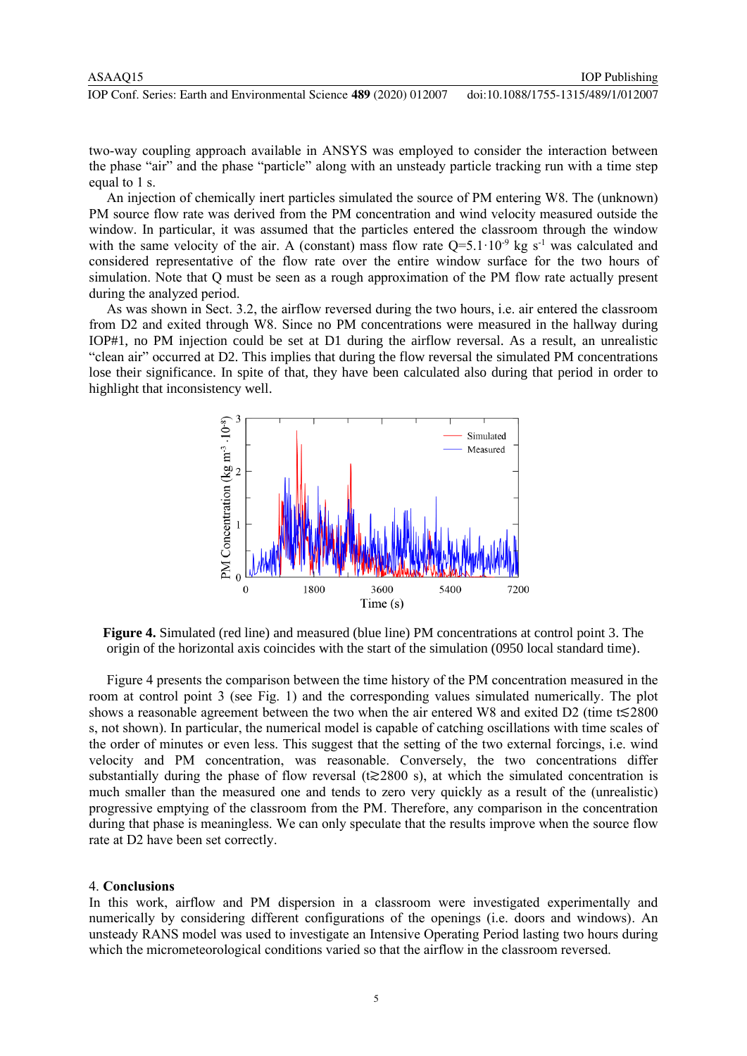two-way coupling approach available in ANSYS was employed to consider the interaction between the phase "air" and the phase "particle" along with an unsteady particle tracking run with a time step equal to 1 s.

An injection of chemically inert particles simulated the source of PM entering W8. The (unknown) PM source flow rate was derived from the PM concentration and wind velocity measured outside the window. In particular, it was assumed that the particles entered the classroom through the window with the same velocity of the air. A (constant) mass flow rate  $Q=5.1 \cdot 10^{-9}$  kg s<sup>-1</sup> was calculated and considered representative of the flow rate over the entire window surface for the two hours of simulation. Note that Q must be seen as a rough approximation of the PM flow rate actually present during the analyzed period.

As was shown in Sect. 3.2, the airflow reversed during the two hours, i.e. air entered the classroom from D2 and exited through W8. Since no PM concentrations were measured in the hallway during IOP#1, no PM injection could be set at D1 during the airflow reversal. As a result, an unrealistic "clean air" occurred at D2. This implies that during the flow reversal the simulated PM concentrations lose their significance. In spite of that, they have been calculated also during that period in order to highlight that inconsistency well.



**Figure 4.** Simulated (red line) and measured (blue line) PM concentrations at control point 3. The origin of the horizontal axis coincides with the start of the simulation (0950 local standard time).

Figure 4 presents the comparison between the time history of the PM concentration measured in the room at control point 3 (see Fig. 1) and the corresponding values simulated numerically. The plot shows a reasonable agreement between the two when the air entered W8 and exited D2 (time t≲2800 s, not shown). In particular, the numerical model is capable of catching oscillations with time scales of the order of minutes or even less. This suggest that the setting of the two external forcings, i.e. wind velocity and PM concentration, was reasonable. Conversely, the two concentrations differ substantially during the phase of flow reversal ( $t \gtrsim 2800$  s), at which the simulated concentration is much smaller than the measured one and tends to zero very quickly as a result of the (unrealistic) progressive emptying of the classroom from the PM. Therefore, any comparison in the concentration during that phase is meaningless. We can only speculate that the results improve when the source flow rate at D2 have been set correctly.

#### 4. **Conclusions**

In this work, airflow and PM dispersion in a classroom were investigated experimentally and numerically by considering different configurations of the openings (i.e. doors and windows). An unsteady RANS model was used to investigate an Intensive Operating Period lasting two hours during which the micrometeorological conditions varied so that the airflow in the classroom reversed.